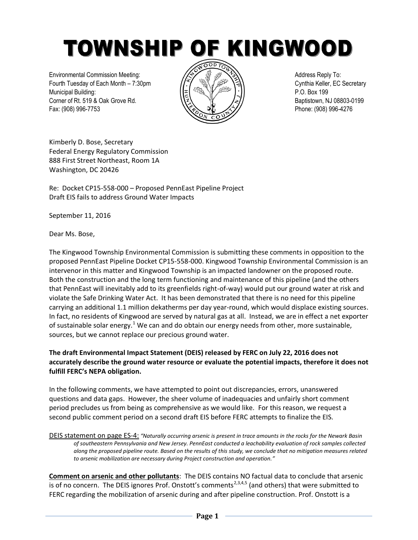TOWNSHIP OF KINGWOOD

Environmental Commission Meeting:  $\sqrt{\Leftrightarrow}$   $\sqrt{\Leftrightarrow}$   $\sqrt{\Leftrightarrow}$  A $\sqrt{\Leftrightarrow}$  Address Reply To: Fourth Tuesday of Each Month – 7:30pm  $\sqrt{2}$   $\sqrt{2}$   $\sqrt{3}$   $\sqrt{2}$   $\sqrt{3}$  Cynthia Keller, EC Secretary Municipal Building: P.O. Box 199 Corner of Rt. 519 & Oak Grove Rd.  $\sqrt{z}$   $\sqrt{z}$   $\sqrt{z}$  / $\sqrt{z}$  / $\sqrt{z}$  Baptistown, NJ 08803-0199 Fax: (908) 996-7753 **Phone: (908) 996-4276** 



Kimberly D. Bose, Secretary Federal Energy Regulatory Commission 888 First Street Northeast, Room 1A Washington, DC 20426

Re: Docket CP15-558-000 – Proposed PennEast Pipeline Project Draft EIS fails to address Ground Water Impacts

September 11, 2016

Dear Ms. Bose,

The Kingwood Township Environmental Commission is submitting these comments in opposition to the proposed PennEast Pipeline Docket CP15-558-000. Kingwood Township Environmental Commission is an intervenor in this matter and Kingwood Township is an impacted landowner on the proposed route. Both the construction and the long term functioning and maintenance of this pipeline (and the others that PennEast will inevitably add to its greenfields right-of-way) would put our ground water at risk and violate the Safe Drinking Water Act. It has been demonstrated that there is no need for this pipeline carrying an additional 1.1 million dekatherms per day year-round, which would displace existing sources. In fact, no residents of Kingwood are served by natural gas at all. Instead, we are in effect a net exporter of sustainable solar energy.<sup>1</sup> We can and do obtain our energy needs from other, more sustainable, sources, but we cannot replace our precious ground water.

## **The draft Environmental Impact Statement (DEIS) released by FERC on July 22, 2016 does not accurately describe the ground water resource or evaluate the potential impacts, therefore it does not fulfill FERC's NEPA obligation.**

In the following comments, we have attempted to point out discrepancies, errors, unanswered questions and data gaps. However, the sheer volume of inadequacies and unfairly short comment period precludes us from being as comprehensive as we would like. For this reason, we request a second public comment period on a second draft EIS before FERC attempts to finalize the EIS.

DEIS statement on page ES-4: *"Naturally occurring arsenic is present in trace amounts in the rocks for the Newark Basin of southeastern Pennsylvania and New Jersey. PennEast conducted a leachability evaluation of rock samples collected along the proposed pipeline route. Based on the results of this study, we conclude that no mitigation measures related to arsenic mobilization are necessary during Project construction and operation."*

**Comment on arsenic and other pollutants**: The DEIS contains NO factual data to conclude that arsenic is of no concern. The DEIS ignores Prof. Onstott's comments<sup>2,3,4,5</sup> (and others) that were submitted to FERC regarding the mobilization of arsenic during and after pipeline construction. Prof. Onstott is a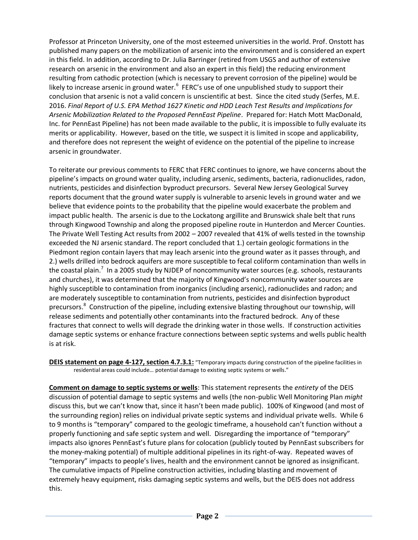Professor at Princeton University, one of the most esteemed universities in the world. Prof. Onstott has published many papers on the mobilization of arsenic into the environment and is considered an expert in this field. In addition, according to Dr. Julia Barringer (retired from USGS and author of extensive research on arsenic in the environment and also an expert in this field) the reducing environment resulting from cathodic protection (which is necessary to prevent corrosion of the pipeline) would be likely to increase arsenic in ground water.<sup>6</sup> FERC's use of one unpublished study to support their conclusion that arsenic is not a valid concern is unscientific at best. Since the cited study (Serfes, M.E. 2016. *Final Report of U.S. EPA Method 1627 Kinetic and HDD Leach Test Results and Implications for Arsenic Mobilization Related to the Proposed PennEast Pipeline*. Prepared for: Hatch Mott MacDonald, Inc. for PennEast Pipeline) has not been made available to the public, it is impossible to fully evaluate its merits or applicability. However, based on the title, we suspect it is limited in scope and applicability, and therefore does not represent the weight of evidence on the potential of the pipeline to increase arsenic in groundwater.

To reiterate our previous comments to FERC that FERC continues to ignore, we have concerns about the pipeline's impacts on ground water quality, including arsenic, sediments, bacteria, radionuclides, radon, nutrients, pesticides and disinfection byproduct precursors. Several New Jersey Geological Survey reports document that the ground water supply is vulnerable to arsenic levels in ground water and we believe that evidence points to the probability that the pipeline would exacerbate the problem and impact public health. The arsenic is due to the Lockatong argillite and Brunswick shale belt that runs through Kingwood Township and along the proposed pipeline route in Hunterdon and Mercer Counties. The Private Well Testing Act results from 2002 – 2007 revealed that 41% of wells tested in the township exceeded the NJ arsenic standard. The report concluded that 1.) certain geologic formations in the Piedmont region contain layers that may leach arsenic into the ground water as it passes through, and 2.) wells drilled into bedrock aquifers are more susceptible to fecal coliform contamination than wells in the coastal plain.<sup>7</sup> In a 2005 study by NJDEP of noncommunity water sources (e.g. schools, restaurants and churches), it was determined that the majority of Kingwood's noncommunity water sources are highly susceptible to contamination from inorganics (including arsenic), radionuclides and radon; and are moderately susceptible to contamination from nutrients, pesticides and disinfection byproduct precursors.<sup>8</sup> Construction of the pipeline, including extensive blasting throughout our township, will release sediments and potentially other contaminants into the fractured bedrock. Any of these fractures that connect to wells will degrade the drinking water in those wells. If construction activities damage septic systems or enhance fracture connections between septic systems and wells public health is at risk.

**DEIS statement on page 4-127, section 4.7.3.1:** "Temporary impacts during construction of the pipeline facilities in residential areas could include… potential damage to existing septic systems or wells."

**Comment on damage to septic systems or wells**: This statement represents the *entirety* of the DEIS discussion of potential damage to septic systems and wells (the non-public Well Monitoring Plan *might* discuss this, but we can't know that, since it hasn't been made public). 100% of Kingwood (and most of the surrounding region) relies on individual private septic systems and individual private wells. While 6 to 9 months is "temporary" compared to the geologic timeframe, a household can't function without a properly functioning and safe septic system and well. Disregarding the importance of "temporary" impacts also ignores PennEast's future plans for colocation (publicly touted by PennEast subscribers for the money-making potential) of multiple additional pipelines in its right-of-way. Repeated waves of "temporary" impacts to people's lives, health and the environment cannot be ignored as insignificant. The cumulative impacts of Pipeline construction activities, including blasting and movement of extremely heavy equipment, risks damaging septic systems and wells, but the DEIS does not address this.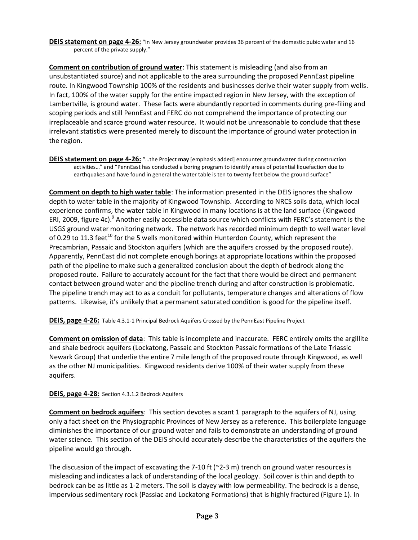**DEIS statement on page 4-26:** "In New Jersey groundwater provides 36 percent of the domestic pubic water and 16 percent of the private supply."

**Comment on contribution of ground water**: This statement is misleading (and also from an unsubstantiated source) and not applicable to the area surrounding the proposed PennEast pipeline route. In Kingwood Township 100% of the residents and businesses derive their water supply from wells. In fact, 100% of the water supply for the entire impacted region in New Jersey, with the exception of Lambertville, is ground water. These facts were abundantly reported in comments during pre-filing and scoping periods and still PennEast and FERC do not comprehend the importance of protecting our irreplaceable and scarce ground water resource. It would not be unreasonable to conclude that these irrelevant statistics were presented merely to discount the importance of ground water protection in the region.

**DEIS statement on page 4-26:** "…the Project **may** [emphasis added] encounter groundwater during construction activities…" and "PennEast has conducted a boring program to identify areas of potential liquefaction due to earthquakes and have found in general the water table is ten to twenty feet below the ground surface"

**Comment on depth to high water table**: The information presented in the DEIS ignores the shallow depth to water table in the majority of Kingwood Township. According to NRCS soils data, which local experience confirms, the water table in Kingwood in many locations is at the land surface (Kingwood ERI, 2009, figure 4c).<sup>9</sup> Another easily accessible data source which conflicts with FERC's statement is the USGS ground water monitoring network. The network has recorded minimum depth to well water level of 0.29 to 11.3 feet<sup>10</sup> for the 5 wells monitored within Hunterdon County, which represent the Precambrian, Passaic and Stockton aquifers (which are the aquifers crossed by the proposed route). Apparently, PennEast did not complete enough borings at appropriate locations within the proposed path of the pipeline to make such a generalized conclusion about the depth of bedrock along the proposed route. Failure to accurately account for the fact that there would be direct and permanent contact between ground water and the pipeline trench during and after construction is problematic. The pipeline trench may act to as a conduit for pollutants, temperature changes and alterations of flow patterns. Likewise, it's unlikely that a permanent saturated condition is good for the pipeline itself.

**DEIS, page 4-26:** Table 4.3.1-1 Principal Bedrock Aquifers Crossed by the PennEast Pipeline Project

**Comment on omission of data**: This table is incomplete and inaccurate. FERC entirely omits the argillite and shale bedrock aquifers (Lockatong, Passaic and Stockton Passaic formations of the Late Triassic Newark Group) that underlie the entire 7 mile length of the proposed route through Kingwood, as well as the other NJ municipalities. Kingwood residents derive 100% of their water supply from these aquifers.

### **DEIS, page 4-28:** Section 4.3.1.2 Bedrock Aquifers

**Comment on bedrock aquifers**: This section devotes a scant 1 paragraph to the aquifers of NJ, using only a fact sheet on the Physiographic Provinces of New Jersey as a reference. This boilerplate language diminishes the importance of our ground water and fails to demonstrate an understanding of ground water science. This section of the DEIS should accurately describe the characteristics of the aquifers the pipeline would go through.

The discussion of the impact of excavating the 7-10 ft ( $\textdegree$ 2-3 m) trench on ground water resources is misleading and indicates a lack of understanding of the local geology. Soil cover is thin and depth to bedrock can be as little as 1-2 meters. The soil is clayey with low permeability. The bedrock is a dense, impervious sedimentary rock (Passiac and Lockatong Formations) that is highly fractured (Figure 1). In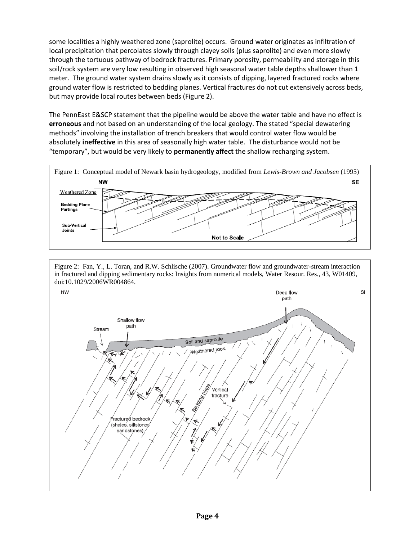some localities a highly weathered zone (saprolite) occurs. Ground water originates as infiltration of local precipitation that percolates slowly through clayey soils (plus saprolite) and even more slowly through the tortuous pathway of bedrock fractures. Primary porosity, permeability and storage in this soil/rock system are very low resulting in observed high seasonal water table depths shallower than 1 meter. The ground water system drains slowly as it consists of dipping, layered fractured rocks where ground water flow is restricted to bedding planes. Vertical fractures do not cut extensively across beds, but may provide local routes between beds (Figure 2).

The PennEast E&SCP statement that the pipeline would be above the water table and have no effect is **erroneous** and not based on an understanding of the local geology. The stated "special dewatering methods" involving the installation of trench breakers that would control water flow would be absolutely **ineffective** in this area of seasonally high water table. The disturbance would not be "temporary", but would be very likely to **permanently affect** the shallow recharging system.





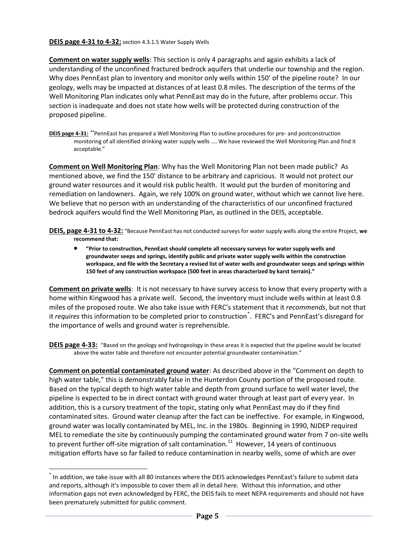#### **DEIS page 4-31 to 4-32:** section 4.3.1.5 Water Supply Wells

**Comment on water supply wells**: This section is only 4 paragraphs and again exhibits a lack of understanding of the unconfined fractured bedrock aquifers that underlie our township and the region. Why does PennEast plan to inventory and monitor only wells within 150' of the pipeline route? In our geology, wells may be impacted at distances of at least 0.8 miles. The description of the terms of the Well Monitoring Plan indicates only what PennEast may do in the future, after problems occur. This section is inadequate and does not state how wells will be protected during construction of the proposed pipeline.

**DEIS page 4-31:** "PennEast has prepared a Well Monitoring Plan to outline procedures for pre- and postconstruction monitoring of all identified drinking water supply wells …. We have reviewed the Well Monitoring Plan and find it acceptable."

**Comment on Well Monitoring Plan**: Why has the Well Monitoring Plan not been made public? As mentioned above, we find the 150' distance to be arbitrary and capricious. It would not protect our ground water resources and it would risk public health. It would put the burden of monitoring and remediation on landowners. Again, we rely 100% on ground water, without which we cannot live here. We believe that no person with an understanding of the characteristics of our unconfined fractured bedrock aquifers would find the Well Monitoring Plan, as outlined in the DEIS, acceptable.

- **DEIS, page 4-31 to 4-32:** "Because PennEast has not conducted surveys for water supply wells along the entire Project, **we recommend that:**
	- **"Prior to construction, PennEast should complete all necessary surveys for water supply wells and groundwater seeps and springs, identify public and private water supply wells within the construction workspace, and file with the Secretary a revised list of water wells and groundwater seeps and springs within 150 feet of any construction workspace (500 feet in areas characterized by karst terrain)."**

**Comment on private wells**: It is not necessary to have survey access to know that every property with a home within Kingwood has a private well. Second, the inventory must include wells within at least 0.8 miles of the proposed route. We also take issue with FERC's statement that it *recommends*, but not that it *requires* this information to be completed prior to construction\* . FERC's and PennEast's disregard for the importance of wells and ground water is reprehensible.

**DEIS page 4-33:** "Based on the geology and hydrogeology in these areas it is expected that the pipeline would be located above the water table and therefore not encounter potential groundwater contamination."

**Comment on potential contaminated ground water**: As described above in the "Comment on depth to high water table," this is demonstrably false in the Hunterdon County portion of the proposed route. Based on the typical depth to high water table and depth from ground surface to well water level, the pipeline is expected to be in direct contact with ground water through at least part of every year. In addition, this is a cursory treatment of the topic, stating only what PennEast may do if they find contaminated sites. Ground water cleanup after the fact can be ineffective. For example, in Kingwood, ground water was locally contaminated by MEL, Inc. in the 1980s. Beginning in 1990, NJDEP required MEL to remediate the site by continuously pumping the contaminated ground water from 7 on-site wells to prevent further off-site migration of salt contamination.<sup>11</sup> However, 14 years of continuous mitigation efforts have so far failed to reduce contamination in nearby wells, some of which are over

 $\overline{a}$ 

<sup>\*</sup> In addition, we take issue with all 80 instances where the DEIS acknowledges PennEast's failure to submit data and reports, although it's impossible to cover them all in detail here. Without this information, and other information gaps not even acknowledged by FERC, the DEIS fails to meet NEPA requirements and should not have been prematurely submitted for public comment.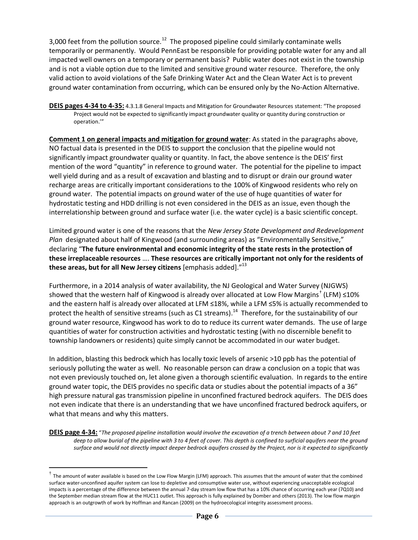3,000 feet from the pollution source.<sup>12</sup> The proposed pipeline could similarly contaminate wells temporarily or permanently. Would PennEast be responsible for providing potable water for any and all impacted well owners on a temporary or permanent basis? Public water does not exist in the township and is not a viable option due to the limited and sensitive ground water resource. Therefore, the only valid action to avoid violations of the Safe Drinking Water Act and the Clean Water Act is to prevent ground water contamination from occurring, which can be ensured only by the No-Action Alternative.

**DEIS pages 4-34 to 4-35:** 4.3.1.8 General Impacts and Mitigation for Groundwater Resources statement: "The proposed Project would not be expected to significantly impact groundwater quality or quantity during construction or operation.'"

**Comment 1 on general impacts and mitigation for ground water**: As stated in the paragraphs above, NO factual data is presented in the DEIS to support the conclusion that the pipeline would not significantly impact groundwater quality or quantity. In fact, the above sentence is the DEIS' first mention of the word "quantity" in reference to ground water. The potential for the pipeline to impact well yield during and as a result of excavation and blasting and to disrupt or drain our ground water recharge areas are critically important considerations to the 100% of Kingwood residents who rely on ground water. The potential impacts on ground water of the use of huge quantities of water for hydrostatic testing and HDD drilling is not even considered in the DEIS as an issue, even though the interrelationship between ground and surface water (i.e. the water cycle) is a basic scientific concept.

Limited ground water is one of the reasons that the *New Jersey State Development and Redevelopment Plan* designated about half of Kingwood (and surrounding areas) as "Environmentally Sensitive," declaring "**The future environmental and economic integrity of the state rests in the protection of these irreplaceable resources** …. **These resources are critically important not only for the residents of these areas, but for all New Jersey citizens** [emphasis added]."<sup>13</sup>

Furthermore, in a 2014 analysis of water availability, the NJ Geological and Water Survey (NJGWS) showed that the western half of Kingwood is already over allocated at Low Flow Margins<sup>†</sup> (LFM) ≤10% and the eastern half is already over allocated at LFM ≤18%, while a LFM ≤5% is actually recommended to protect the health of sensitive streams (such as C1 streams).<sup>14</sup> Therefore, for the sustainability of our ground water resource, Kingwood has work to do to reduce its current water demands. The use of large quantities of water for construction activities and hydrostatic testing (with no discernible benefit to township landowners or residents) quite simply cannot be accommodated in our water budget.

In addition, blasting this bedrock which has locally toxic levels of arsenic >10 ppb has the potential of seriously polluting the water as well. No reasonable person can draw a conclusion on a topic that was not even previously touched on, let alone given a thorough scientific evaluation. In regards to the entire ground water topic, the DEIS provides no specific data or studies about the potential impacts of a 36" high pressure natural gas transmission pipeline in unconfined fractured bedrock aquifers. The DEIS does not even indicate that there is an understanding that we have unconfined fractured bedrock aquifers, or what that means and why this matters.

**DEIS page 4-34:** "*The proposed pipeline installation would involve the excavation of a trench between about 7 and 10 feet*  deep to allow burial of the pipeline with 3 to 4 feet of cover. This depth is confined to surficial aquifers near the ground *surface and would not directly impact deeper bedrock aquifers crossed by the Project, nor is it expected to significantly* 

 $\overline{a}$ 

 $^{\dagger}$  The amount of water available is based on the Low Flow Margin (LFM) approach. This assumes that the amount of water that the combined surface water-unconfined aquifer system can lose to depletive and consumptive water use, without experiencing unacceptable ecological impacts is a percentage of the difference between the annual 7-day stream low flow that has a 10% chance of occurring each year (7Q10) and the September median stream flow at the HUC11 outlet. This approach is fully explained by Domber and others (2013). The low flow margin approach is an outgrowth of work by Hoffman and Rancan (2009) on the hydroecological integrity assessment process.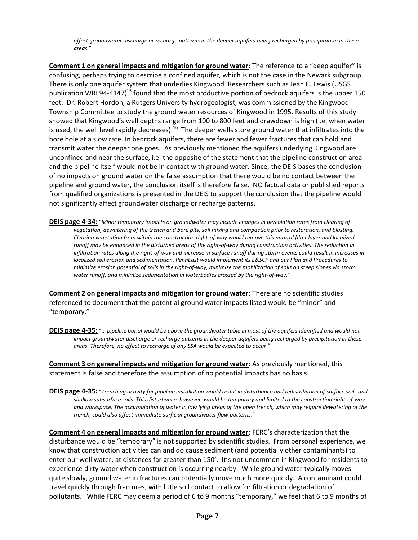*affect groundwater discharge or recharge patterns in the deeper aquifers being recharged by precipitation in these areas.*"

**Comment 1 on general impacts and mitigation for ground water**: The reference to a "deep aquifer" is confusing, perhaps trying to describe a confined aquifer, which is not the case in the Newark subgroup. There is only one aquifer system that underlies Kingwood. Researchers such as Jean C. Lewis (USGS publication WRI 94-4147)<sup>15</sup> found that the most productive portion of bedrock aquifers is the upper 150 feet. Dr. Robert Hordon, a Rutgers University hydrogeologist, was commissioned by the Kingwood Township Committee to study the ground water resources of Kingwood in 1995. Results of this study showed that Kingwood's well depths range from 100 to 800 feet and drawdown is high (i.e. when water is used, the well level rapidly decreases).<sup>16</sup> The deeper wells store ground water that infiltrates into the bore hole at a slow rate. In bedrock aquifers, there are fewer and fewer fractures that can hold and transmit water the deeper one goes. As previously mentioned the aquifers underlying Kingwood are unconfined and near the surface, i.e. the opposite of the statement that the pipeline construction area and the pipeline itself would not be in contact with ground water. Since, the DEIS bases the conclusion of no impacts on ground water on the false assumption that there would be no contact between the pipeline and ground water, the conclusion itself is therefore false. NO factual data or published reports from qualified organizations is presented in the DEIS to support the conclusion that the pipeline would not significantly affect groundwater discharge or recharge patterns.

**DEIS page 4-34:** "*Minor temporary impacts on groundwater may include changes in percolation rates from clearing of vegetation, dewatering of the trench and bore pits, soil mixing and compaction prior to restoration, and blasting. Clearing vegetation from within the construction right-of-way would remove this natural filter layer and localized runoff may be enhanced in the disturbed areas of the right-of-way during construction activities. The reduction in infiltration rates along the right-of-way and increase in surface runoff during storm events could result in increases in localized soil erosion and sedimentation. PennEast would implement its E&SCP and our Plan and Procedures to minimize erosion potential of soils in the right-of-way, minimize the mobilization of soils on steep slopes via storm water runoff, and minimize sedimentation in waterbodies crossed by the right-of-way*."

**Comment 2 on general impacts and mitigation for ground water**: There are no scientific studies referenced to document that the potential ground water impacts listed would be "minor" and "temporary."

**DEIS page 4-35:** "… *pipeline burial would be above the groundwater table in most of the aquifers identified and would not impact groundwater discharge or recharge patterns in the deeper aquifers being recharged by precipitation in these areas. Therefore, no effect to recharge of any SSA would be expected to occur*."

**Comment 3 on general impacts and mitigation for ground water**: As previously mentioned, this statement is false and therefore the assumption of no potential impacts has no basis.

**DEIS page 4-35:** "*Trenching activity for pipeline installation would result in disturbance and redistribution of surface soils and shallow subsurface soils. This disturbance, however, would be temporary and limited to the construction right-of-way and workspace. The accumulation of water in low lying areas of the open trench, which may require dewatering of the trench, could also affect immediate surficial groundwater flow patterns*."

**Comment 4 on general impacts and mitigation for ground water**: FERC's characterization that the disturbance would be "temporary" is not supported by scientific studies. From personal experience, we know that construction activities can and do cause sediment (and potentially other contaminants) to enter our well water, at distances far greater than 150'. It's not uncommon in Kingwood for residents to experience dirty water when construction is occurring nearby. While ground water typically moves quite slowly, ground water in fractures can potentially move much more quickly. A contaminant could travel quickly through fractures, with little soil contact to allow for filtration or degradation of pollutants. While FERC may deem a period of 6 to 9 months "temporary," we feel that 6 to 9 months of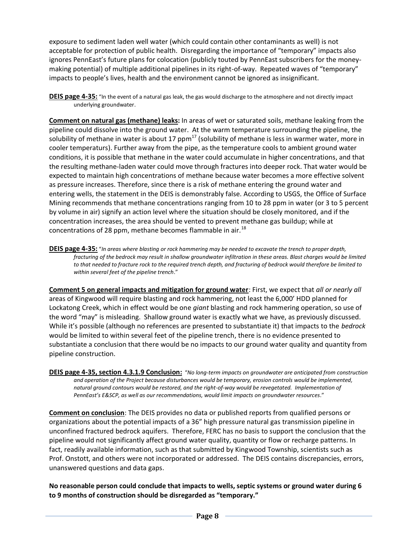exposure to sediment laden well water (which could contain other contaminants as well) is not acceptable for protection of public health. Disregarding the importance of "temporary" impacts also ignores PennEast's future plans for colocation (publicly touted by PennEast subscribers for the moneymaking potential) of multiple additional pipelines in its right-of-way. Repeated waves of "temporary" impacts to people's lives, health and the environment cannot be ignored as insignificant.

**DEIS page 4-35:** "In the event of a natural gas leak, the gas would discharge to the atmosphere and not directly impact underlying groundwater.

**Comment on natural gas (methane) leaks:** In areas of wet or saturated soils, methane leaking from the pipeline could dissolve into the ground water. At the warm temperature surrounding the pipeline, the solubility of methane in water is about 17  $ppm<sup>17</sup>$  (solubility of methane is less in warmer water, more in cooler temperaturs). Further away from the pipe, as the temperature cools to ambient ground water conditions, it is possible that methane in the water could accumulate in higher concentrations, and that the resulting methane-laden water could move through fractures into deeper rock. That water would be expected to maintain high concentrations of methane because water becomes a more effective solvent as pressure increases. Therefore, since there is a risk of methane entering the ground water and entering wells, the statement in the DEIS is demonstrably false. According to USGS, the Office of Surface Mining recommends that methane concentrations ranging from 10 to 28 ppm in water (or 3 to 5 percent by volume in air) signify an action level where the situation should be closely monitored, and if the concentration increases, the area should be vented to prevent methane gas buildup; while at concentrations of 28 ppm, methane becomes flammable in air.<sup>18</sup>

**DEIS page 4-35:** "*In areas where blasting or rock hammering may be needed to excavate the trench to proper depth, fracturing of the bedrock may result in shallow groundwater infiltration in these areas. Blast charges would be limited to that needed to fracture rock to the required trench depth, and fracturing of bedrock would therefore be limited to within several feet of the pipeline trench*."

**Comment 5 on general impacts and mitigation for ground water**: First, we expect that *all or nearly all* areas of Kingwood will require blasting and rock hammering, not least the 6,000' HDD planned for Lockatong Creek, which in effect would be one *giant* blasting and rock hammering operation, so use of the word "may" is misleading. Shallow ground water is exactly what we have, as previously discussed. While it's possible (although no references are presented to substantiate it) that impacts to the *bedrock* would be limited to within several feet of the pipeline trench, there is no evidence presented to substantiate a conclusion that there would be no impacts to our ground water quality and quantity from pipeline construction.

**DEIS page 4-35, section 4.3.1.9 Conclusion:** "*No long-term impacts on groundwater are anticipated from construction and operation of the Project because disturbances would be temporary, erosion controls would be implemented, natural ground contours would be restored, and the right-of-way would be revegetated. Implementation of PennEast's E&SCP, as well as our recommendations, would limit impacts on groundwater resources*."

**Comment on conclusion**: The DEIS provides no data or published reports from qualified persons or organizations about the potential impacts of a 36" high pressure natural gas transmission pipeline in unconfined fractured bedrock aquifers. Therefore, FERC has no basis to support the conclusion that the pipeline would not significantly affect ground water quality, quantity or flow or recharge patterns. In fact, readily available information, such as that submitted by Kingwood Township, scientists such as Prof. Onstott, and others were not incorporated or addressed. The DEIS contains discrepancies, errors, unanswered questions and data gaps.

**No reasonable person could conclude that impacts to wells, septic systems or ground water during 6 to 9 months of construction should be disregarded as "temporary."**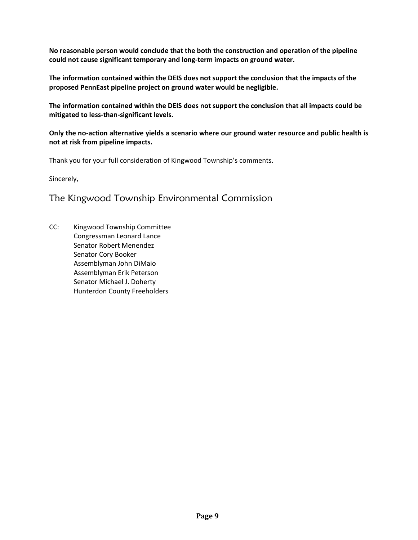**No reasonable person would conclude that the both the construction and operation of the pipeline could not cause significant temporary and long-term impacts on ground water.** 

**The information contained within the DEIS does not support the conclusion that the impacts of the proposed PennEast pipeline project on ground water would be negligible.** 

**The information contained within the DEIS does not support the conclusion that all impacts could be mitigated to less-than-significant levels.**

**Only the no-action alternative yields a scenario where our ground water resource and public health is not at risk from pipeline impacts.**

Thank you for your full consideration of Kingwood Township's comments.

Sincerely,

# The Kingwood Township Environmental Commission

CC: Kingwood Township Committee Congressman Leonard Lance Senator Robert Menendez Senator Cory Booker Assemblyman John DiMaio Assemblyman Erik Peterson Senator Michael J. Doherty Hunterdon County Freeholders